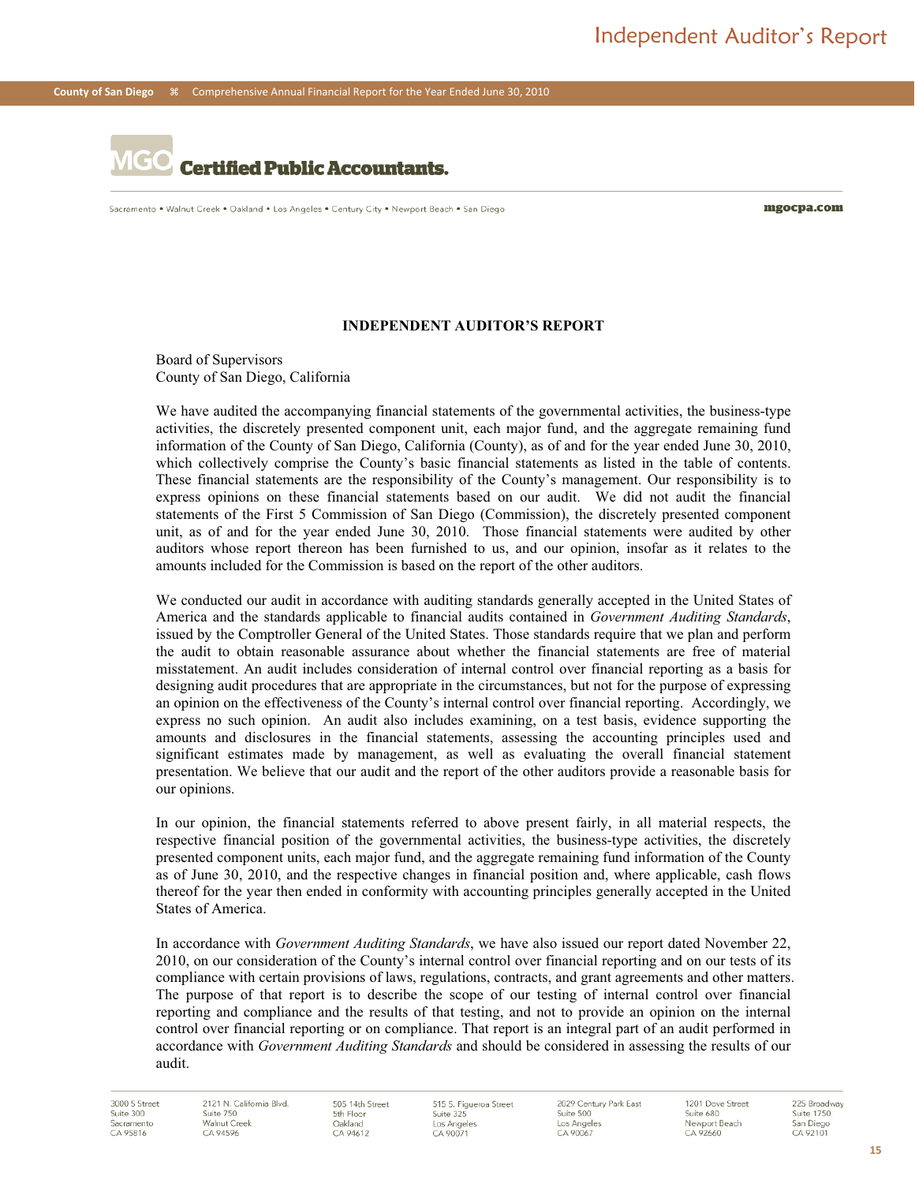**County of San Diego** Comprehensive Annual Financial Report for the Year Ended June 30, 2010



Sacramento . Walnut Creek . Oakland . Los Angeles . Century City . Newport Beach . San Diego

mgocpa.com

## **INDEPENDENT AUDITOR'S REPORT**

Board of Supervisors County of San Diego, California

We have audited the accompanying financial statements of the governmental activities, the business-type activities, the discretely presented component unit, each major fund, and the aggregate remaining fund information of the County of San Diego, California (County), as of and for the year ended June 30, 2010, which collectively comprise the County's basic financial statements as listed in the table of contents. These financial statements are the responsibility of the County's management. Our responsibility is to express opinions on these financial statements based on our audit. We did not audit the financial statements of the First 5 Commission of San Diego (Commission), the discretely presented component unit, as of and for the year ended June 30, 2010. Those financial statements were audited by other auditors whose report thereon has been furnished to us, and our opinion, insofar as it relates to the amounts included for the Commission is based on the report of the other auditors.

We conducted our audit in accordance with auditing standards generally accepted in the United States of America and the standards applicable to financial audits contained in *Government Auditing Standards*, issued by the Comptroller General of the United States. Those standards require that we plan and perform the audit to obtain reasonable assurance about whether the financial statements are free of material misstatement. An audit includes consideration of internal control over financial reporting as a basis for designing audit procedures that are appropriate in the circumstances, but not for the purpose of expressing an opinion on the effectiveness of the County's internal control over financial reporting. Accordingly, we express no such opinion. An audit also includes examining, on a test basis, evidence supporting the amounts and disclosures in the financial statements, assessing the accounting principles used and significant estimates made by management, as well as evaluating the overall financial statement presentation. We believe that our audit and the report of the other auditors provide a reasonable basis for our opinions.

In our opinion, the financial statements referred to above present fairly, in all material respects, the respective financial position of the governmental activities, the business-type activities, the discretely presented component units, each major fund, and the aggregate remaining fund information of the County as of June 30, 2010, and the respective changes in financial position and, where applicable, cash flows thereof for the year then ended in conformity with accounting principles generally accepted in the United States of America.

In accordance with *Government Auditing Standards*, we have also issued our report dated November 22, 2010, on our consideration of the County's internal control over financial reporting and on our tests of its compliance with certain provisions of laws, regulations, contracts, and grant agreements and other matters. The purpose of that report is to describe the scope of our testing of internal control over financial reporting and compliance and the results of that testing, and not to provide an opinion on the internal control over financial reporting or on compliance. That report is an integral part of an audit performed in accordance with *Government Auditing Standards* and should be considered in assessing the results of our audit.

3000 S Street Suite 300 Sacramento CA 95816

2121 N. California Blvd. Suite 750 Walnut Creek CA 94596

505 14th Street 5th Floor Oakland CA 94612

515 S. Figueroa Street Suite 325 Los Angeles CA 90071

2029 Century Park East Suite 500 Los Angeles<br>CA 90067

1201 Dove Street Suite 680 Newport Beach<br>CA 92660

225 Broadway Suite 1750 San Diego<br>CA 92101